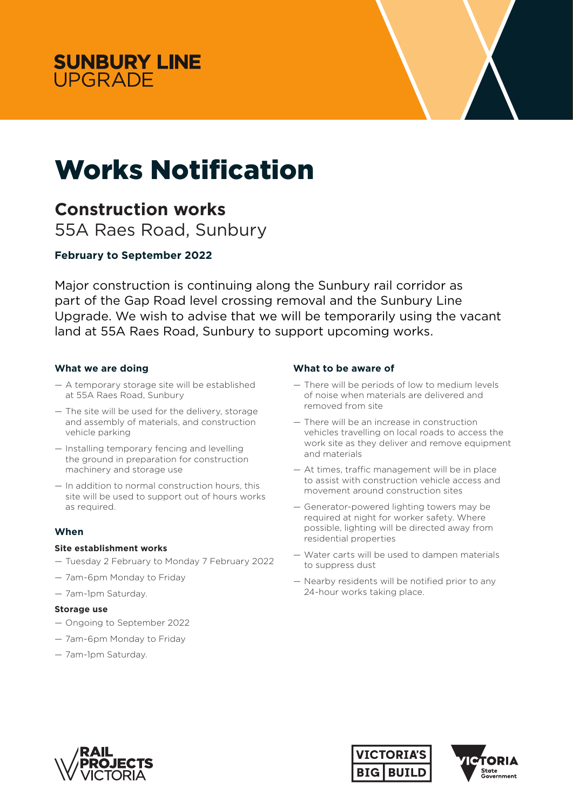



# Works Notification

## **Construction works**

55A Raes Road, Sunbury

### **February to September 2022**

Major construction is continuing along the Sunbury rail corridor as part of the Gap Road level crossing removal and the Sunbury Line Upgrade. We wish to advise that we will be temporarily using the vacant land at 55A Raes Road, Sunbury to support upcoming works.

#### **What we are doing**

- A temporary storage site will be established at 55A Raes Road, Sunbury
- The site will be used for the delivery, storage and assembly of materials, and construction vehicle parking
- Installing temporary fencing and levelling the ground in preparation for construction machinery and storage use
- In addition to normal construction hours, this site will be used to support out of hours works as required.

#### **When**

#### **Site establishment works**

- Tuesday 2 February to Monday 7 February 2022
- 7am-6pm Monday to Friday
- 7am-1pm Saturday.

#### **Storage use**

- Ongoing to September 2022
- 7am-6pm Monday to Friday
- 7am-1pm Saturday.

#### **What to be aware of**

- There will be periods of low to medium levels of noise when materials are delivered and removed from site
- There will be an increase in construction vehicles travelling on local roads to access the work site as they deliver and remove equipment and materials
- At times, traffic management will be in place to assist with construction vehicle access and movement around construction sites
- Generator-powered lighting towers may be required at night for worker safety. Where possible, lighting will be directed away from residential properties
- Water carts will be used to dampen materials to suppress dust
- Nearby residents will be notified prior to any 24-hour works taking place.